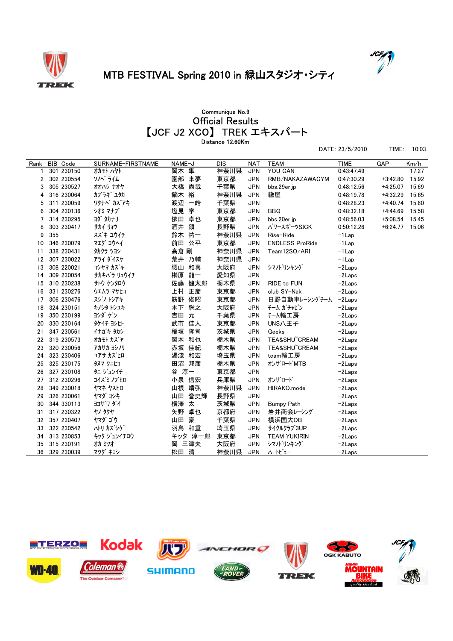



DATE: 23/5/2010 TIME: 10:03

## MTB FESTIVAL Spring 2010 in 緑山スタジオ・シティ

## 【JCF J2 XCO】 TREK エキスパート Official Results Communique No.9 Distance 12.60Km

| Rank | <b>BIB</b> Code | SURNAME-FIRSTNAME | NAME-J    | <b>DIS</b> | <b>NAT</b> | <b>TEAM</b>            | <b>TIME</b> | GAP        | Km/h  |
|------|-----------------|-------------------|-----------|------------|------------|------------------------|-------------|------------|-------|
|      | 301 230150      | オカモト ハヤト          | 岡本 隼      | 神奈川県       | <b>JPN</b> | YOU CAN                | 0:43:47.49  |            | 17.27 |
| 2    | 302 230554      | ソノベ゛ライム           | 園部 来夢     | 東京都        | <b>JPN</b> | RMB/NAKAZAWAGYM        | 0:47:30.29  | $+3.42.80$ | 15.92 |
| 3    | 305 230527      | オオハシ ナオヤ          | 大橋 尚哉     | 千葉県        | <b>JPN</b> | bbs.29er.jp            | 0:48:12.56  | $+4.25.07$ | 15.69 |
| 4    | 316 230064      | カブラギ ユタカ          | 鏑木 裕      | 神奈川県       | <b>JPN</b> | 轍屋                     | 0:48:19.78  | $+4:32.29$ | 15.65 |
| 5    | 311 230059      | ワタナベ カズアキ         | 渡辺 一皓     | 千葉県        | <b>JPN</b> |                        | 0:48:28.23  | $+4.40.74$ | 15.60 |
| 6    | 304 230136      | シオミ マナブ           | 学<br>塩見   | 東京都        | <b>JPN</b> | <b>BBQ</b>             | 0:48:32.18  | $+4.44.69$ | 15.58 |
| 7    | 314 230295      | ヨダ タカナリ           | 卓也<br>依田  | 東京都        | <b>JPN</b> | bbs.20er.jp            | 0:48:56.03  | $+5.08.54$ | 15.45 |
| 8    | 303 230417      | サカイ リョウ           | 領<br>酒井   | 長野県        | <b>JPN</b> | パワースポーツSICK            | 0:50:12.26  | $+6:24.77$ | 15.06 |
| 9    | 355             | スズキ ユウイチ          | 鈴木 祐一     | 神奈川県       | <b>JPN</b> | Rise-Ride              | $-1$ Lap    |            |       |
| 10   | 346 230079      | マエダ コウヘイ          | 前田 公平     | 東京都        | <b>JPN</b> | <b>ENDLESS ProRide</b> | $-1$ Lap    |            |       |
| 11   | 338 230431      | タカクラ ツヨシ          | 高倉 剛      | 神奈川県       | <b>JPN</b> | Team12SO/ARI           | $-1$ Lap    |            |       |
| 12   | 307 230022      | アライ ダイスケ          | 荒井 乃輔     | 神奈川県       | <b>JPN</b> |                        | $-1$ Lap    |            |       |
| 13   | 308 220021      | コシヤマ カズキ          | 腰山 和喜     | 大阪府        | <b>JPN</b> | シマノドリンキング              | $-2$ Laps   |            |       |
| 14   | 309 230054      | サカキバラ リュウイチ       | 榊原 龍一     | 愛知県        | <b>JPN</b> |                        | $-2$ Laps   |            |       |
| 15   | 310 230238      | サトウ ケンタロウ         | 佐藤 健太郎    | 栃木県        | <b>JPN</b> | RIDE to FUN            | $-2$ Laps   |            |       |
| 16   | 331 230276      | ウェムラ マサヒコ         | 上村<br>正彦  | 東京都        | <b>JPN</b> | club SY-Nak            | $-2$ Laps   |            |       |
| 17   | 306 230476      | スジノトシアキ           | 筋野<br>俊昭  | 東京都        | <b>JPN</b> | 日野自動車レーシングチーム          | $-2$ Laps   |            |       |
| 18   | 324 230151      | キノシタトシュキ          | 木下<br>聡之  | 大阪府        | <b>JPN</b> | チーム ガチャピン              | $-2$ Laps   |            |       |
| 19   | 350 230199      | ヨシダ ゲン            | 元<br>吉田   | 千葉県        | <b>JPN</b> | チーム輪工房                 | $-2$ Laps   |            |       |
| 20   | 330 230164      | タケイチ ヨシヒト         | 武市 佳人     | 東京都        | <b>JPN</b> | UNS八王子                 | $-2$ Laps   |            |       |
| 21   | 347 230561      | イナガキ タカシ          | 稲垣<br>隆司  | 茨城県        | <b>JPN</b> | Geeks                  | $-2$ Laps   |            |       |
| 22   | 319 230573      | オカモト カズヤ          | 岡本 和也     | 栃木県        | <b>JPN</b> | TEA&SHU CREAM          | $-2$ Laps   |            |       |
| 23   | 320 230056      | アカサカ ヨシノリ         | 赤坂 佳紀     | 栃木県        | <b>JPN</b> | TEA&SHU CREAM          | $-2$ Laps   |            |       |
| 24   | 323 230406      | ユアサ カズヒロ          | 湯淺<br>和宏  | 埼玉県        | <b>JPN</b> | team輪工房                | $-2$ Laps   |            |       |
| 25   | 325 230175      | タヌマ クニヒコ          | 田沼 邦彦     | 栃木県        | <b>JPN</b> | オンザロート`MTB             | $-2$ Laps   |            |       |
| 26   | 327 230108      | タニ ジュンイチ          | 谷 淳一      | 東京都        | <b>JPN</b> |                        | $-2$ Laps   |            |       |
| 27   | 312 230296      | コイズミ ノブヒロ         | 小泉 信宏     | 兵庫県        | <b>JPN</b> | オンザロード                 | $-2$ Laps   |            |       |
| 28   | 349 230018      | ヤマネ ヤスヒロ          | 山根 靖弘     | 神奈川県       | <b>JPN</b> | HIRAKO.mode            | $-2$ Laps   |            |       |
| 29   | 326 230061      | ヤマダ ヨシキ           | 山田<br>誉史輝 | 長野県        | <b>JPN</b> |                        | $-2$ Laps   |            |       |
| 30   | 344 330113      | ヨコザワ ダイ           | 横澤<br>太   | 茨城県        | <b>JPN</b> | <b>Bumpy Path</b>      | $-2$ Laps   |            |       |
| 31   | 317 230322      | <b>ヤノ タクヤ</b>     | 矢野<br>卓也  | 京都府        | <b>JPN</b> | 岩井商会レーシング              | $-2$ Laps   |            |       |
| 32   | 357 230407      | ヤマダ ゴウ            | 山田<br>豪   | 千葉県        | <b>JPN</b> | 横浜国大OB                 | $-2$ Laps   |            |       |
| 33   | 322 230542      | ハトリ カズシゲ          | 羽鳥 和重     | 埼玉県        | <b>JPN</b> | サイクルクラブ3UP             | $-2$ Laps   |            |       |
| 34   | 313 230853      | キッタ ジュンイチロウ       | キッタ 淳一郎   | 東京都        | <b>JPN</b> | <b>TEAM YUKIRIN</b>    | $-2$ Laps   |            |       |
| 35   | 315 230191      | オカ ミツオ            | 岡 三津夫     | 大阪府        | <b>JPN</b> | シマノドリンキング              | $-2$ Laps   |            |       |
| 36   | 329 230039      | マツダ キヨシ           | 松田 清      | 神奈川県       | <b>JPN</b> | ハートビュー                 | $-2Laps$    |            |       |